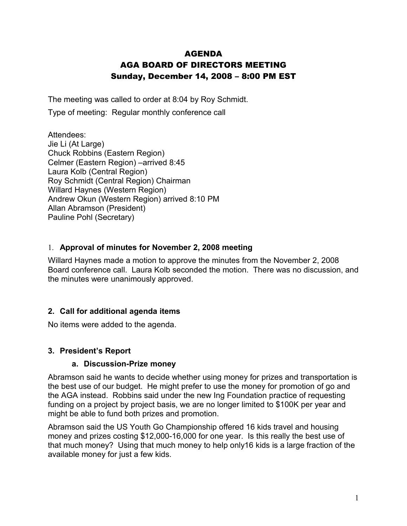# AGENDA AGA BOARD OF DIRECTORS MEETING Sunday, December 14, 2008 – 8:00 PM EST

The meeting was called to order at 8:04 by Roy Schmidt.

Type of meeting: Regular monthly conference call

Attendees: Jie Li (At Large) Chuck Robbins (Eastern Region) Celmer (Eastern Region) –arrived 8:45 Laura Kolb (Central Region) Roy Schmidt (Central Region) Chairman Willard Haynes (Western Region) Andrew Okun (Western Region) arrived 8:10 PM Allan Abramson (President) Pauline Pohl (Secretary)

#### 1. **Approval of minutes for November 2, 2008 meeting**

Willard Haynes made a motion to approve the minutes from the November 2, 2008 Board conference call. Laura Kolb seconded the motion. There was no discussion, and the minutes were unanimously approved.

## **2. Call for additional agenda items**

No items were added to the agenda.

#### **3. President's Report**

#### **a. Discussion-Prize money**

Abramson said he wants to decide whether using money for prizes and transportation is the best use of our budget. He might prefer to use the money for promotion of go and the AGA instead. Robbins said under the new Ing Foundation practice of requesting funding on a project by project basis, we are no longer limited to \$100K per year and might be able to fund both prizes and promotion.

Abramson said the US Youth Go Championship offered 16 kids travel and housing money and prizes costing \$12,000-16,000 for one year. Is this really the best use of that much money? Using that much money to help only16 kids is a large fraction of the available money for just a few kids.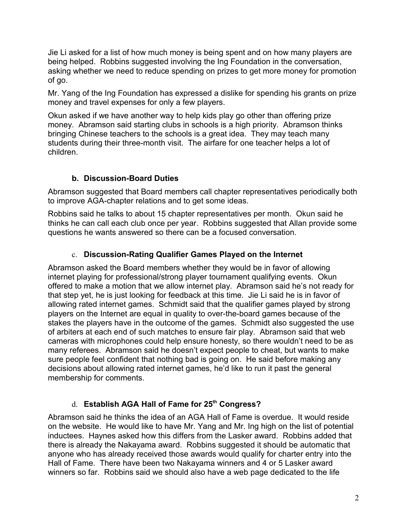Jie Li asked for a list of how much money is being spent and on how many players are being helped. Robbins suggested involving the Ing Foundation in the conversation, asking whether we need to reduce spending on prizes to get more money for promotion of go.

Mr. Yang of the Ing Foundation has expressed a dislike for spending his grants on prize money and travel expenses for only a few players.

Okun asked if we have another way to help kids play go other than offering prize money. Abramson said starting clubs in schools is a high priority. Abramson thinks bringing Chinese teachers to the schools is a great idea. They may teach many students during their three-month visit. The airfare for one teacher helps a lot of children.

## **b. Discussion-Board Duties**

Abramson suggested that Board members call chapter representatives periodically both to improve AGA-chapter relations and to get some ideas.

Robbins said he talks to about 15 chapter representatives per month. Okun said he thinks he can call each club once per year. Robbins suggested that Allan provide some questions he wants answered so there can be a focused conversation.

## c. **Discussion-Rating Qualifier Games Played on the Internet**

Abramson asked the Board members whether they would be in favor of allowing internet playing for professional/strong player tournament qualifying events. Okun offered to make a motion that we allow internet play. Abramson said he's not ready for that step yet, he is just looking for feedback at this time. Jie Li said he is in favor of allowing rated internet games. Schmidt said that the qualifier games played by strong players on the Internet are equal in quality to over-the-board games because of the stakes the players have in the outcome of the games. Schmidt also suggested the use of arbiters at each end of such matches to ensure fair play. Abramson said that web cameras with microphones could help ensure honesty, so there wouldn't need to be as many referees. Abramson said he doesn't expect people to cheat, but wants to make sure people feel confident that nothing bad is going on. He said before making any decisions about allowing rated internet games, he'd like to run it past the general membership for comments.

## d. **Establish AGA Hall of Fame for 25th Congress?**

Abramson said he thinks the idea of an AGA Hall of Fame is overdue. It would reside on the website. He would like to have Mr. Yang and Mr. Ing high on the list of potential inductees. Haynes asked how this differs from the Lasker award. Robbins added that there is already the Nakayama award. Robbins suggested it should be automatic that anyone who has already received those awards would qualify for charter entry into the Hall of Fame. There have been two Nakayama winners and 4 or 5 Lasker award winners so far. Robbins said we should also have a web page dedicated to the life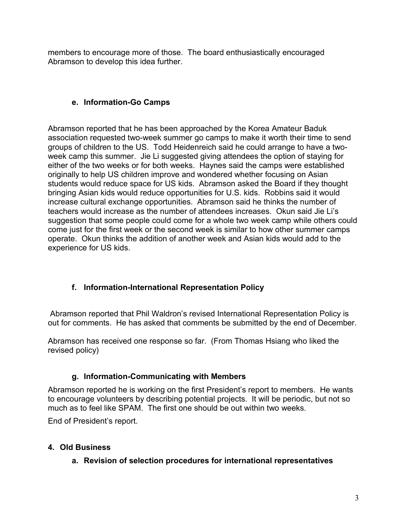members to encourage more of those. The board enthusiastically encouraged Abramson to develop this idea further.

## **e. Information-Go Camps**

Abramson reported that he has been approached by the Korea Amateur Baduk association requested two-week summer go camps to make it worth their time to send groups of children to the US. Todd Heidenreich said he could arrange to have a twoweek camp this summer. Jie Li suggested giving attendees the option of staying for either of the two weeks or for both weeks. Haynes said the camps were established originally to help US children improve and wondered whether focusing on Asian students would reduce space for US kids. Abramson asked the Board if they thought bringing Asian kids would reduce opportunities for U.S. kids. Robbins said it would increase cultural exchange opportunities. Abramson said he thinks the number of teachers would increase as the number of attendees increases. Okun said Jie Li's suggestion that some people could come for a whole two week camp while others could come just for the first week or the second week is similar to how other summer camps operate. Okun thinks the addition of another week and Asian kids would add to the experience for US kids.

# **f. Information-International Representation Policy**

Abramson reported that Phil Waldron's revised International Representation Policy is out for comments. He has asked that comments be submitted by the end of December.

Abramson has received one response so far. (From Thomas Hsiang who liked the revised policy)

## **g. Information-Communicating with Members**

Abramson reported he is working on the first President's report to members. He wants to encourage volunteers by describing potential projects. It will be periodic, but not so much as to feel like SPAM. The first one should be out within two weeks.

End of President's report.

# **4. Old Business**

## **a. Revision of selection procedures for international representatives**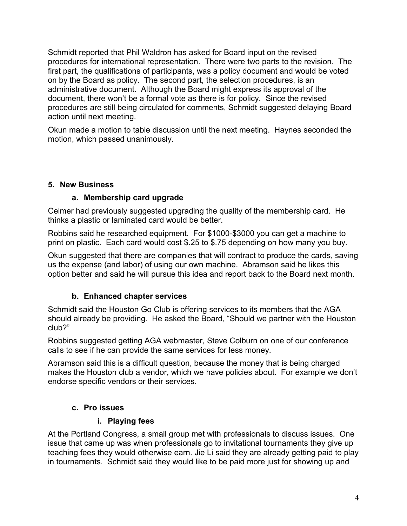Schmidt reported that Phil Waldron has asked for Board input on the revised procedures for international representation. There were two parts to the revision. The first part, the qualifications of participants, was a policy document and would be voted on by the Board as policy. The second part, the selection procedures, is an administrative document. Although the Board might express its approval of the document, there won't be a formal vote as there is for policy. Since the revised procedures are still being circulated for comments, Schmidt suggested delaying Board action until next meeting.

Okun made a motion to table discussion until the next meeting. Haynes seconded the motion, which passed unanimously.

#### **5. New Business**

#### **a. Membership card upgrade**

Celmer had previously suggested upgrading the quality of the membership card. He thinks a plastic or laminated card would be better.

Robbins said he researched equipment. For \$1000-\$3000 you can get a machine to print on plastic. Each card would cost \$.25 to \$.75 depending on how many you buy.

Okun suggested that there are companies that will contract to produce the cards, saving us the expense (and labor) of using our own machine. Abramson said he likes this option better and said he will pursue this idea and report back to the Board next month.

## **b. Enhanced chapter services**

Schmidt said the Houston Go Club is offering services to its members that the AGA should already be providing. He asked the Board, "Should we partner with the Houston club?"

Robbins suggested getting AGA webmaster, Steve Colburn on one of our conference calls to see if he can provide the same services for less money.

Abramson said this is a difficult question, because the money that is being charged makes the Houston club a vendor, which we have policies about. For example we don't endorse specific vendors or their services.

## **c. Pro issues**

## **i. Playing fees**

At the Portland Congress, a small group met with professionals to discuss issues. One issue that came up was when professionals go to invitational tournaments they give up teaching fees they would otherwise earn. Jie Li said they are already getting paid to play in tournaments. Schmidt said they would like to be paid more just for showing up and